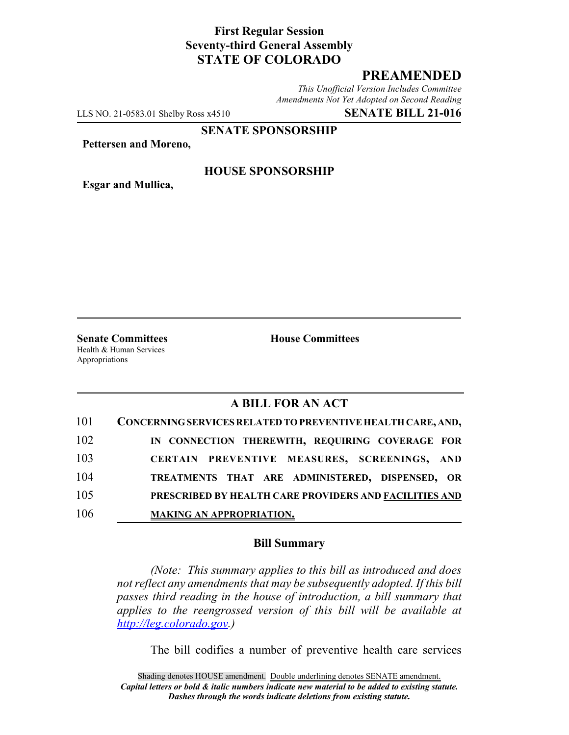# **First Regular Session Seventy-third General Assembly STATE OF COLORADO**

# **PREAMENDED**

*This Unofficial Version Includes Committee Amendments Not Yet Adopted on Second Reading*

LLS NO. 21-0583.01 Shelby Ross x4510 **SENATE BILL 21-016**

**SENATE SPONSORSHIP**

**Pettersen and Moreno,**

**Esgar and Mullica,**

### **HOUSE SPONSORSHIP**

**Senate Committees House Committees** Health & Human Services Appropriations

# **A BILL FOR AN ACT**

| 101 | CONCERNING SERVICES RELATED TO PREVENTIVE HEALTH CARE, AND, |
|-----|-------------------------------------------------------------|
| 102 | IN CONNECTION THEREWITH, REQUIRING COVERAGE FOR             |
| 103 | CERTAIN PREVENTIVE MEASURES, SCREENINGS, AND                |
| 104 | TREATMENTS THAT ARE ADMINISTERED, DISPENSED, OR             |
| 105 | PRESCRIBED BY HEALTH CARE PROVIDERS AND FACILITIES AND      |
| 106 | <b>MAKING AN APPROPRIATION.</b>                             |

#### **Bill Summary**

*(Note: This summary applies to this bill as introduced and does not reflect any amendments that may be subsequently adopted. If this bill passes third reading in the house of introduction, a bill summary that applies to the reengrossed version of this bill will be available at http://leg.colorado.gov.)*

The bill codifies a number of preventive health care services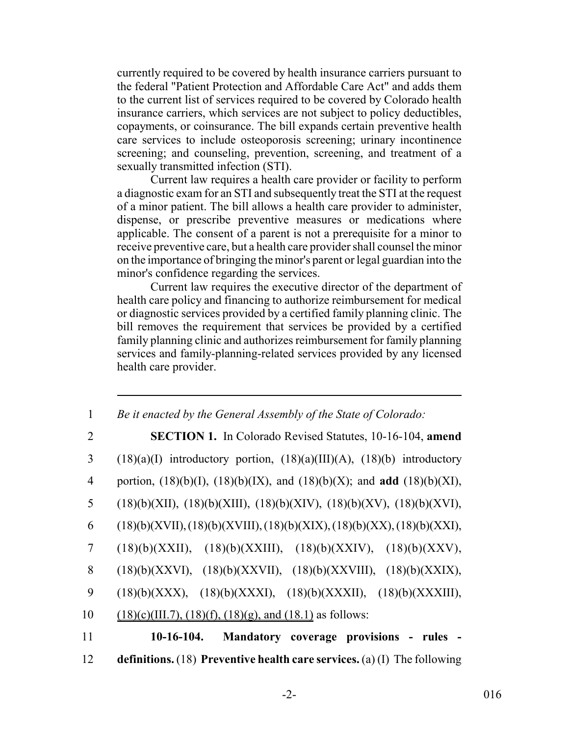currently required to be covered by health insurance carriers pursuant to the federal "Patient Protection and Affordable Care Act" and adds them to the current list of services required to be covered by Colorado health insurance carriers, which services are not subject to policy deductibles, copayments, or coinsurance. The bill expands certain preventive health care services to include osteoporosis screening; urinary incontinence screening; and counseling, prevention, screening, and treatment of a sexually transmitted infection (STI).

Current law requires a health care provider or facility to perform a diagnostic exam for an STI and subsequently treat the STI at the request of a minor patient. The bill allows a health care provider to administer, dispense, or prescribe preventive measures or medications where applicable. The consent of a parent is not a prerequisite for a minor to receive preventive care, but a health care provider shall counsel the minor on the importance of bringing the minor's parent or legal guardian into the minor's confidence regarding the services.

Current law requires the executive director of the department of health care policy and financing to authorize reimbursement for medical or diagnostic services provided by a certified family planning clinic. The bill removes the requirement that services be provided by a certified family planning clinic and authorizes reimbursement for family planning services and family-planning-related services provided by any licensed health care provider.

| $\mathbf{1}$ | Be it enacted by the General Assembly of the State of Colorado:                           |
|--------------|-------------------------------------------------------------------------------------------|
| 2            | <b>SECTION 1.</b> In Colorado Revised Statutes, 10-16-104, amend                          |
| 3            | $(18)(a)(I)$ introductory portion, $(18)(a)(III)(A)$ , $(18)(b)$ introductory             |
| 4            | portion, $(18)(b)(I)$ , $(18)(b)(IX)$ , and $(18)(b)(X)$ ; and <b>add</b> $(18)(b)(XI)$ , |
| 5            | $(18)(b)(XII), (18)(b)(XIII), (18)(b)(XIV), (18)(b)(XV), (18)(b)(XVI),$                   |
| 6            | $(18)(b)(XVII), (18)(b)(XVIII), (18)(b)(XIX), (18)(b)(XX), (18)(b)(XXI),$                 |
| 7            | $(18)(b)(XXII), (18)(b)(XXIII), (18)(b)(XXIV), (18)(b)(XXV),$                             |
| 8            | $(18)(b)(XXXI), (18)(b)(XXXII), (18)(b)(XXXIII), (18)(b)(XXXIX),$                         |
| 9            | $(18)(b)(XXX), (18)(b)(XXXI), (18)(b)(XXXII), (18)(b)(XXXIII),$                           |
| 10           | $(18)(c)(III.7), (18)(f), (18)(g), and (18.1)$ as follows:                                |
| 11           | $10-16-104.$<br>Mandatory coverage provisions - rules                                     |
| 12           | definitions. (18) Preventive health care services. (a) (I) The following                  |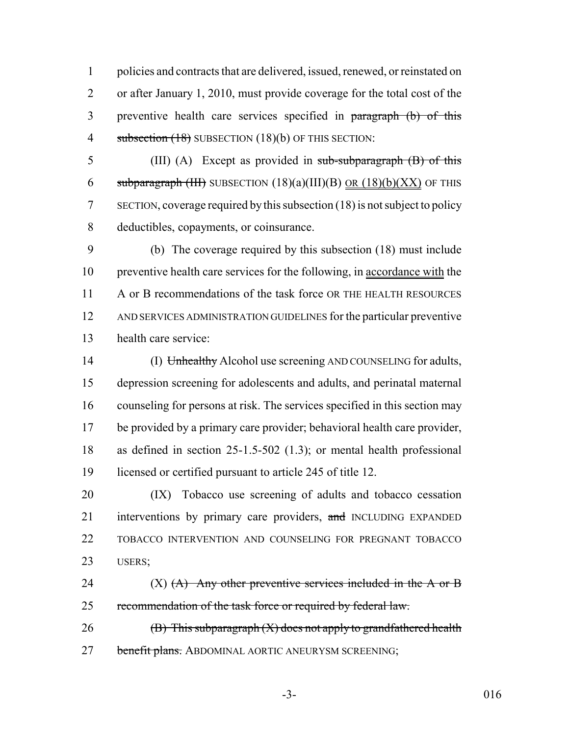policies and contracts that are delivered, issued, renewed, or reinstated on or after January 1, 2010, must provide coverage for the total cost of the preventive health care services specified in paragraph (b) of this 4 subsection (18) SUBSECTION (18)(b) OF THIS SECTION:

5 (III) (A) Except as provided in sub-subparagraph (B) of this 6 subparagraph (III) SUBSECTION  $(18)(a)(III)(B)$  <u>OR  $(18)(b)(XX)$ </u> OF THIS SECTION, coverage required by this subsection (18) is not subject to policy deductibles, copayments, or coinsurance.

 (b) The coverage required by this subsection (18) must include preventive health care services for the following, in accordance with the 11 A or B recommendations of the task force OR THE HEALTH RESOURCES AND SERVICES ADMINISTRATION GUIDELINES for the particular preventive health care service:

14 (I) Unhealthy Alcohol use screening AND COUNSELING for adults, depression screening for adolescents and adults, and perinatal maternal counseling for persons at risk. The services specified in this section may be provided by a primary care provider; behavioral health care provider, as defined in section 25-1.5-502 (1.3); or mental health professional licensed or certified pursuant to article 245 of title 12.

 (IX) Tobacco use screening of adults and tobacco cessation 21 interventions by primary care providers, and INCLUDING EXPANDED TOBACCO INTERVENTION AND COUNSELING FOR PREGNANT TOBACCO USERS;

24  $(X)$   $(A)$  Any other preventive services included in the A or B recommendation of the task force or required by federal law.

26  $(B)$  This subparagraph  $(X)$  does not apply to grandfathered health 27 benefit plans. ABDOMINAL AORTIC ANEURYSM SCREENING;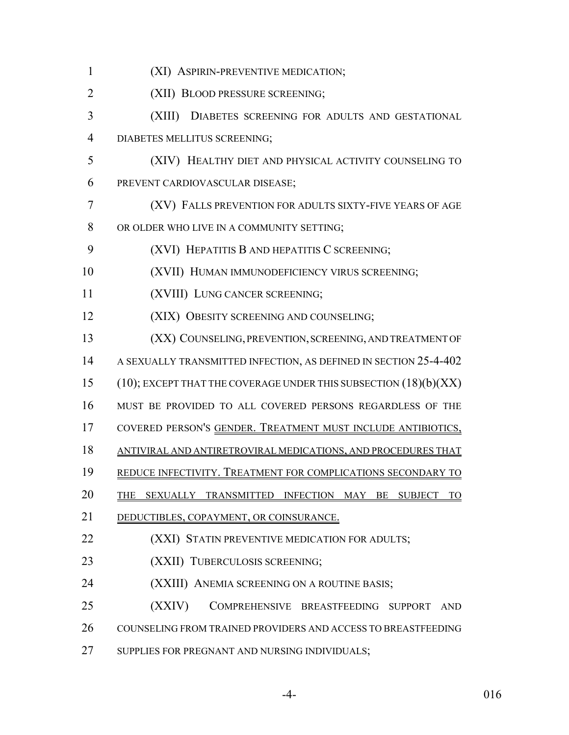| $\mathbf{1}$   | (XI) ASPIRIN-PREVENTIVE MEDICATION;                                   |
|----------------|-----------------------------------------------------------------------|
| $\overline{2}$ | (XII) BLOOD PRESSURE SCREENING;                                       |
| 3              | (XIII)<br>DIABETES SCREENING FOR ADULTS AND GESTATIONAL               |
| $\overline{4}$ | DIABETES MELLITUS SCREENING;                                          |
| 5              | (XIV) HEALTHY DIET AND PHYSICAL ACTIVITY COUNSELING TO                |
| 6              | PREVENT CARDIOVASCULAR DISEASE;                                       |
| $\tau$         | (XV) FALLS PREVENTION FOR ADULTS SIXTY-FIVE YEARS OF AGE              |
| 8              | OR OLDER WHO LIVE IN A COMMUNITY SETTING;                             |
| 9              | (XVI) HEPATITIS B AND HEPATITIS C SCREENING;                          |
| 10             | (XVII) HUMAN IMMUNODEFICIENCY VIRUS SCREENING;                        |
| 11             | (XVIII) LUNG CANCER SCREENING;                                        |
| 12             | (XIX) OBESITY SCREENING AND COUNSELING;                               |
| 13             | (XX) COUNSELING, PREVENTION, SCREENING, AND TREATMENT OF              |
| 14             | A SEXUALLY TRANSMITTED INFECTION, AS DEFINED IN SECTION 25-4-402      |
| 15             | $(10)$ ; EXCEPT THAT THE COVERAGE UNDER THIS SUBSECTION $(18)(b)(XX)$ |
| 16             | MUST BE PROVIDED TO ALL COVERED PERSONS REGARDLESS OF THE             |
| 17             | COVERED PERSON'S GENDER. TREATMENT MUST INCLUDE ANTIBIOTICS,          |
| 18             | ANTIVIRAL AND ANTIRETROVIRAL MEDICATIONS, AND PROCEDURES THAT         |
| 19             | REDUCE INFECTIVITY. TREATMENT FOR COMPLICATIONS SECONDARY TO          |
| 20             | SEXUALLY TRANSMITTED INFECTION MAY BE SUBJECT                         |
| 21             | DEDUCTIBLES, COPAYMENT, OR COINSURANCE.                               |
| 22             | (XXI) STATIN PREVENTIVE MEDICATION FOR ADULTS;                        |
| 23             | (XXII) TUBERCULOSIS SCREENING;                                        |
| 24             | (XXIII) ANEMIA SCREENING ON A ROUTINE BASIS;                          |
| 25             | (XXIV)<br>COMPREHENSIVE BREASTFEEDING SUPPORT<br><b>AND</b>           |
| 26             | COUNSELING FROM TRAINED PROVIDERS AND ACCESS TO BREASTFEEDING         |
| 27             | SUPPLIES FOR PREGNANT AND NURSING INDIVIDUALS;                        |
|                |                                                                       |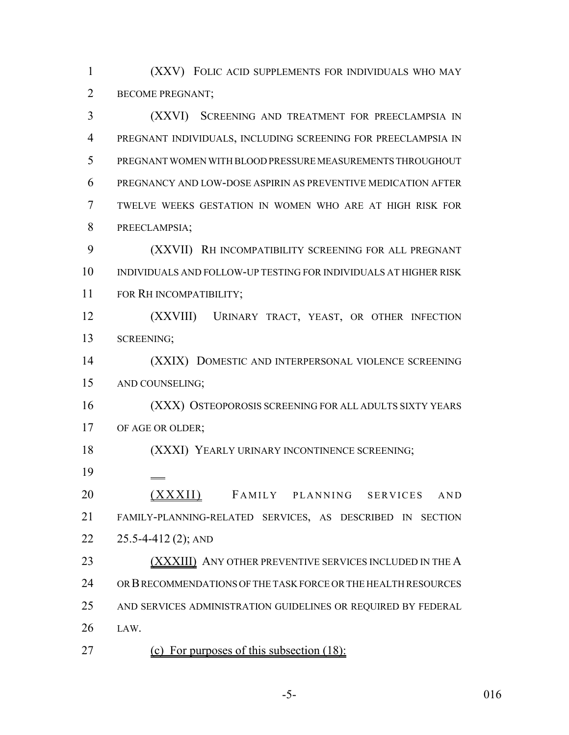(XXV) FOLIC ACID SUPPLEMENTS FOR INDIVIDUALS WHO MAY BECOME PREGNANT;

 (XXVI) SCREENING AND TREATMENT FOR PREECLAMPSIA IN PREGNANT INDIVIDUALS, INCLUDING SCREENING FOR PREECLAMPSIA IN PREGNANT WOMEN WITH BLOOD PRESSURE MEASUREMENTS THROUGHOUT PREGNANCY AND LOW-DOSE ASPIRIN AS PREVENTIVE MEDICATION AFTER TWELVE WEEKS GESTATION IN WOMEN WHO ARE AT HIGH RISK FOR PREECLAMPSIA;

 (XXVII) RH INCOMPATIBILITY SCREENING FOR ALL PREGNANT INDIVIDUALS AND FOLLOW-UP TESTING FOR INDIVIDUALS AT HIGHER RISK FOR RH INCOMPATIBILITY;

 (XXVIII) URINARY TRACT, YEAST, OR OTHER INFECTION SCREENING;

 (XXIX) DOMESTIC AND INTERPERSONAL VIOLENCE SCREENING AND COUNSELING;

 (XXX) OSTEOPOROSIS SCREENING FOR ALL ADULTS SIXTY YEARS 17 OF AGE OR OLDER;

(XXXI) YEARLY URINARY INCONTINENCE SCREENING;

 (XXXII) FAMILY PLANNING SERVICES AND FAMILY-PLANNING-RELATED SERVICES, AS DESCRIBED IN SECTION 25.5-4-412 (2); AND

23 (XXXIII) ANY OTHER PREVENTIVE SERVICES INCLUDED IN THE A OR B RECOMMENDATIONS OF THE TASK FORCE OR THE HEALTH RESOURCES AND SERVICES ADMINISTRATION GUIDELINES OR REQUIRED BY FEDERAL LAW.

(c) For purposes of this subsection (18):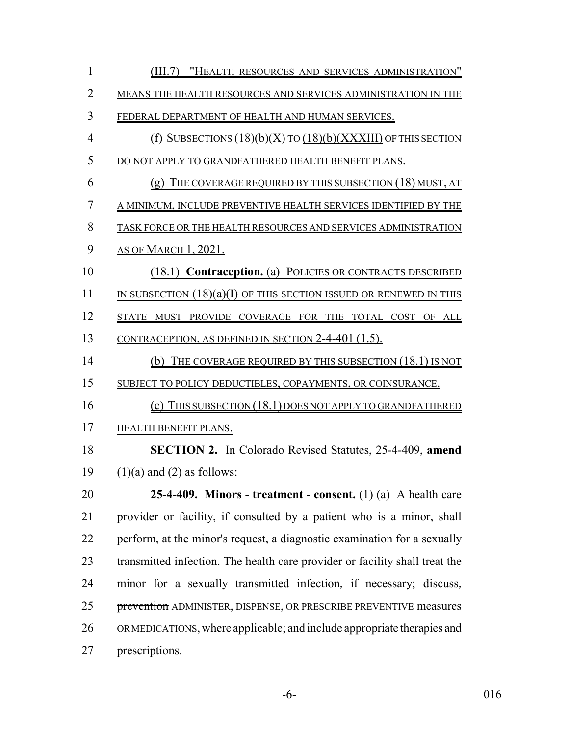| $\mathbf{1}$   | (III.7) "HEALTH RESOURCES AND SERVICES ADMINISTRATION"                      |
|----------------|-----------------------------------------------------------------------------|
| $\overline{2}$ | MEANS THE HEALTH RESOURCES AND SERVICES ADMINISTRATION IN THE               |
| 3              | FEDERAL DEPARTMENT OF HEALTH AND HUMAN SERVICES.                            |
| $\overline{4}$ | (f) SUBSECTIONS $(18)(b)(X)$ TO $(18)(b)(XXXIII)$ OF THIS SECTION           |
| 5              | DO NOT APPLY TO GRANDFATHERED HEALTH BENEFIT PLANS.                         |
| 6              | $(g)$ THE COVERAGE REQUIRED BY THIS SUBSECTION $(18)$ MUST, AT              |
| 7              | A MINIMUM, INCLUDE PREVENTIVE HEALTH SERVICES IDENTIFIED BY THE             |
| 8              | TASK FORCE OR THE HEALTH RESOURCES AND SERVICES ADMINISTRATION              |
| 9              | <u>as of March 1, 2021.</u>                                                 |
| 10             | (18.1) Contraception. (a) POLICIES OR CONTRACTS DESCRIBED                   |
| 11             | IN SUBSECTION $(18)(a)(I)$ of this section issued or renewed in this        |
| 12             | STATE MUST PROVIDE COVERAGE FOR THE TOTAL COST OF ALL                       |
| 13             | <u>contraception, as defined in section 2-4-401 (1.5).</u>                  |
| 14             | THE COVERAGE REQUIRED BY THIS SUBSECTION (18.1) IS NOT<br>(b)               |
| 15             | SUBJECT TO POLICY DEDUCTIBLES, COPAYMENTS, OR COINSURANCE.                  |
| 16             | (c) THIS SUBSECTION $(18.1)$ DOES NOT APPLY TO GRANDFATHERED                |
| 17             | HEALTH BENEFIT PLANS.                                                       |
| 18             | <b>SECTION 2.</b> In Colorado Revised Statutes, 25-4-409, amend             |
| 19             | $(1)(a)$ and $(2)$ as follows:                                              |
| 20             | 25-4-409. Minors - treatment - consent. $(1)$ $(a)$ A health care           |
| 21             | provider or facility, if consulted by a patient who is a minor, shall       |
| 22             | perform, at the minor's request, a diagnostic examination for a sexually    |
| 23             | transmitted infection. The health care provider or facility shall treat the |
| 24             | minor for a sexually transmitted infection, if necessary; discuss,          |
| 25             | prevention ADMINISTER, DISPENSE, OR PRESCRIBE PREVENTIVE measures           |
| 26             | ORMEDICATIONS, where applicable; and include appropriate therapies and      |
| 27             | prescriptions.                                                              |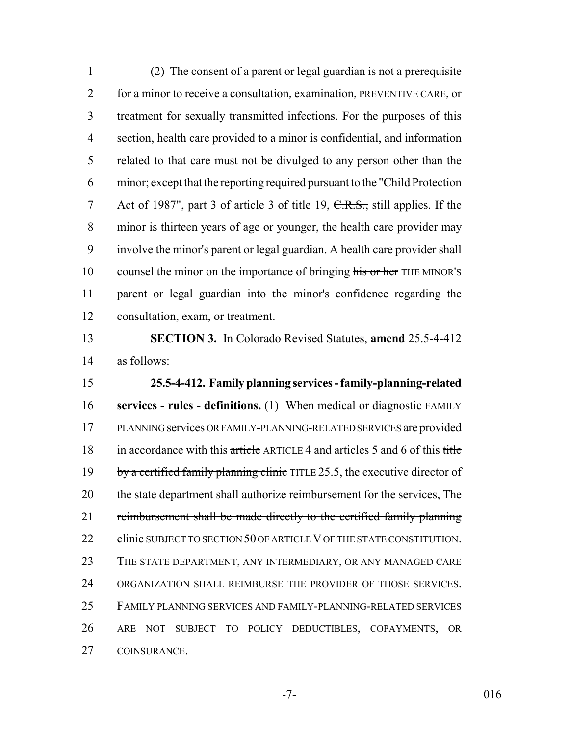(2) The consent of a parent or legal guardian is not a prerequisite 2 for a minor to receive a consultation, examination, PREVENTIVE CARE, or treatment for sexually transmitted infections. For the purposes of this section, health care provided to a minor is confidential, and information related to that care must not be divulged to any person other than the minor; except that the reporting required pursuant to the "Child Protection 7 Act of 1987", part 3 of article 3 of title 19, C.R.S., still applies. If the minor is thirteen years of age or younger, the health care provider may involve the minor's parent or legal guardian. A health care provider shall 10 counsel the minor on the importance of bringing his or her THE MINOR'S parent or legal guardian into the minor's confidence regarding the consultation, exam, or treatment.

 **SECTION 3.** In Colorado Revised Statutes, **amend** 25.5-4-412 as follows:

 **25.5-4-412. Family planning services - family-planning-related services - rules - definitions.** (1) When medical or diagnostic FAMILY PLANNING services OR FAMILY-PLANNING-RELATED SERVICES are provided 18 in accordance with this article ARTICLE 4 and articles 5 and 6 of this title 19 by a certified family planning clinic TITLE 25.5, the executive director of 20 the state department shall authorize reimbursement for the services, The 21 reimbursement shall be made directly to the certified family planning 22 clinic SUBJECT TO SECTION 50 OF ARTICLE V OF THE STATE CONSTITUTION. THE STATE DEPARTMENT, ANY INTERMEDIARY, OR ANY MANAGED CARE ORGANIZATION SHALL REIMBURSE THE PROVIDER OF THOSE SERVICES. FAMILY PLANNING SERVICES AND FAMILY-PLANNING-RELATED SERVICES ARE NOT SUBJECT TO POLICY DEDUCTIBLES, COPAYMENTS, OR COINSURANCE.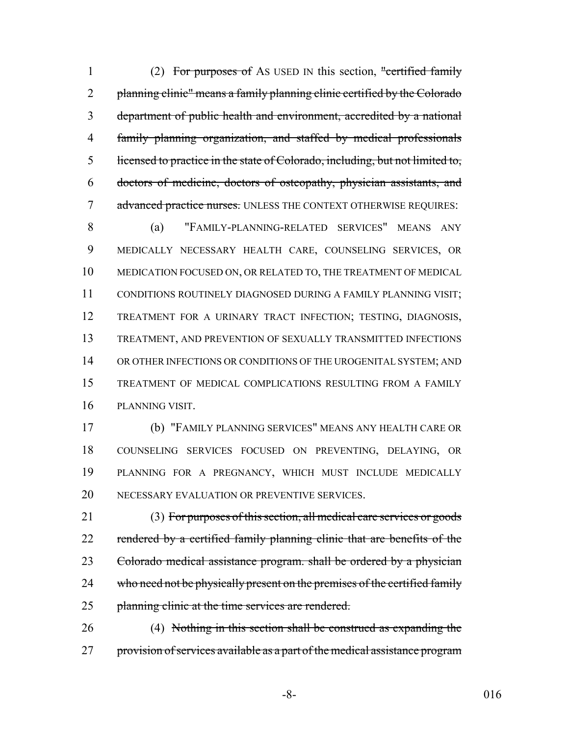1 (2) For purposes of AS USED IN this section, "certified family 2 planning clinic" means a family planning clinic certified by the Colorado department of public health and environment, accredited by a national family planning organization, and staffed by medical professionals licensed to practice in the state of Colorado, including, but not limited to, doctors of medicine, doctors of osteopathy, physician assistants, and 7 advanced practice nurses. UNLESS THE CONTEXT OTHERWISE REQUIRES:

 (a) "FAMILY-PLANNING-RELATED SERVICES" MEANS ANY MEDICALLY NECESSARY HEALTH CARE, COUNSELING SERVICES, OR MEDICATION FOCUSED ON, OR RELATED TO, THE TREATMENT OF MEDICAL CONDITIONS ROUTINELY DIAGNOSED DURING A FAMILY PLANNING VISIT; TREATMENT FOR A URINARY TRACT INFECTION; TESTING, DIAGNOSIS, TREATMENT, AND PREVENTION OF SEXUALLY TRANSMITTED INFECTIONS 14 OR OTHER INFECTIONS OR CONDITIONS OF THE UROGENITAL SYSTEM; AND TREATMENT OF MEDICAL COMPLICATIONS RESULTING FROM A FAMILY PLANNING VISIT.

 (b) "FAMILY PLANNING SERVICES" MEANS ANY HEALTH CARE OR COUNSELING SERVICES FOCUSED ON PREVENTING, DELAYING, OR PLANNING FOR A PREGNANCY, WHICH MUST INCLUDE MEDICALLY NECESSARY EVALUATION OR PREVENTIVE SERVICES.

 (3) For purposes of this section, all medical care services or goods 22 rendered by a certified family planning clinic that are benefits of the Colorado medical assistance program. shall be ordered by a physician 24 who need not be physically present on the premises of the certified family 25 planning clinic at the time services are rendered.

 (4) Nothing in this section shall be construed as expanding the 27 provision of services available as a part of the medical assistance program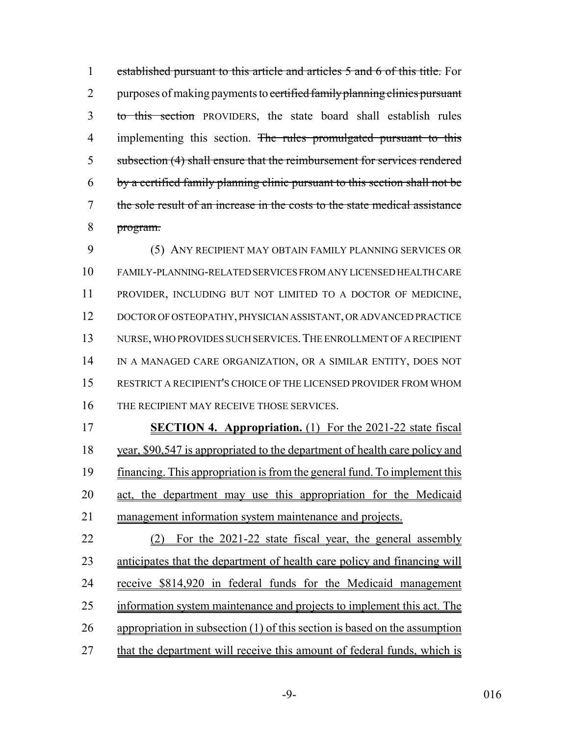established pursuant to this article and articles 5 and 6 of this title. For 2 purposes of making payments to certified family planning clinics pursuant to this section PROVIDERS, the state board shall establish rules 4 implementing this section. The rules promulgated pursuant to this subsection (4) shall ensure that the reimbursement for services rendered by a certified family planning clinic pursuant to this section shall not be the sole result of an increase in the costs to the state medical assistance program.

 (5) ANY RECIPIENT MAY OBTAIN FAMILY PLANNING SERVICES OR FAMILY-PLANNING-RELATED SERVICES FROM ANY LICENSED HEALTH CARE PROVIDER, INCLUDING BUT NOT LIMITED TO A DOCTOR OF MEDICINE, DOCTOR OF OSTEOPATHY, PHYSICIAN ASSISTANT, OR ADVANCED PRACTICE NURSE, WHO PROVIDES SUCH SERVICES.THE ENROLLMENT OF A RECIPIENT IN A MANAGED CARE ORGANIZATION, OR A SIMILAR ENTITY, DOES NOT RESTRICT A RECIPIENT'S CHOICE OF THE LICENSED PROVIDER FROM WHOM 16 THE RECIPIENT MAY RECEIVE THOSE SERVICES.

 **SECTION 4. Appropriation.** (1) For the 2021-22 state fiscal year, \$90,547 is appropriated to the department of health care policy and financing. This appropriation is from the general fund. To implement this act, the department may use this appropriation for the Medicaid management information system maintenance and projects.

 (2) For the 2021-22 state fiscal year, the general assembly anticipates that the department of health care policy and financing will receive \$814,920 in federal funds for the Medicaid management information system maintenance and projects to implement this act. The appropriation in subsection (1) of this section is based on the assumption 27 that the department will receive this amount of federal funds, which is